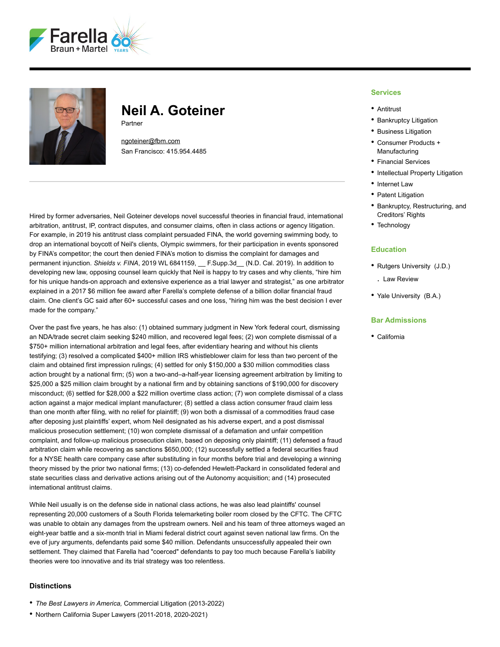



# **Neil A. Goteiner** Partner

[ngoteiner@fbm.com](mailto:ngoteiner@fbm.com)

San Francisco: 415.954.4485

Hired by former adversaries, Neil Goteiner develops novel successful theories in financial fraud, international arbitration, antitrust, IP, contract disputes, and consumer claims, often in class actions or agency litigation. For example, in 2019 his antitrust class complaint persuaded FINA, the world governing swimming body, to drop an international boycott of Neil's clients, Olympic swimmers, for their participation in events sponsored by FINA's competitor; the court then denied FINA's motion to dismiss the complaint for damages and permanent injunction. *Shields v. FINA*, 2019 WL 6841159, F. Supp.3d<sub>(M.D. Cal. 2019). In addition to</sub> developing new law, opposing counsel learn quickly that Neil is happy to try cases and why clients, "hire him for his unique hands-on approach and extensive experience as a trial lawyer and strategist," as one arbitrator explained in a 2017 \$6 million fee award after Farella's complete defense of a billion dollar financial fraud claim. One client's GC said after 60+ successful cases and one loss, "hiring him was the best decision I ever made for the company."

Over the past five years, he has also: (1) obtained summary judgment in New York federal court, dismissing an NDA/trade secret claim seeking \$240 million, and recovered legal fees; (2) won complete dismissal of a \$750+ million international arbitration and legal fees, after evidentiary hearing and without his clients testifying; (3) resolved a complicated \$400+ million IRS whistleblower claim for less than two percent of the claim and obtained first impression rulings; (4) settled for only \$150,000 a \$30 million commodities class action brought by a national firm; (5) won a two-and–a-half-year licensing agreement arbitration by limiting to \$25,000 a \$25 million claim brought by a national firm and by obtaining sanctions of \$190,000 for discovery misconduct; (6) settled for \$28,000 a \$22 million overtime class action; (7) won complete dismissal of a class action against a major medical implant manufacturer; (8) settled a class action consumer fraud claim less than one month after filing, with no relief for plaintiff; (9) won both a dismissal of a commodities fraud case after deposing just plaintiffs' expert, whom Neil designated as his adverse expert, and a post dismissal malicious prosecution settlement; (10) won complete dismissal of a defamation and unfair competition complaint, and follow-up malicious prosecution claim, based on deposing only plaintiff; (11) defensed a fraud arbitration claim while recovering as sanctions \$650,000; (12) successfully settled a federal securities fraud for a NYSE health care company case after substituting in four months before trial and developing a winning theory missed by the prior two national firms; (13) co-defended Hewlett-Packard in consolidated federal and state securities class and derivative actions arising out of the Autonomy acquisition; and (14) prosecuted international antitrust claims.

While Neil usually is on the defense side in national class actions, he was also lead plaintiffs' counsel representing 20,000 customers of a South Florida telemarketing boiler room closed by the CFTC. The CFTC was unable to obtain any damages from the upstream owners. Neil and his team of three attorneys waged an eight-year battle and a six-month trial in Miami federal district court against seven national law firms. On the eve of jury arguments, defendants paid some \$40 million. Defendants unsuccessfully appealed their own settlement. They claimed that Farella had "coerced" defendants to pay too much because Farella's liability theories were too innovative and its trial strategy was too relentless.

## **Distinctions**

- *The Best Lawyers in America,* Commercial Litigation (2013-2022)
- Northern California Super Lawyers (2011-2018, 2020-2021)

### **Services**

- Antitrust
- Bankruptcy Litigation
- Business Litigation
- Consumer Products + Manufacturing
- Financial Services
- Intellectual Property Litigation
- Internet Law
- Patent Litigation
- Bankruptcy, Restructuring, and Creditors' Rights
- Technology

#### **Education**

- Rutgers University (J.D.)
	- . Law Review
- Yale University (B.A.)

## **Bar Admissions**

• California